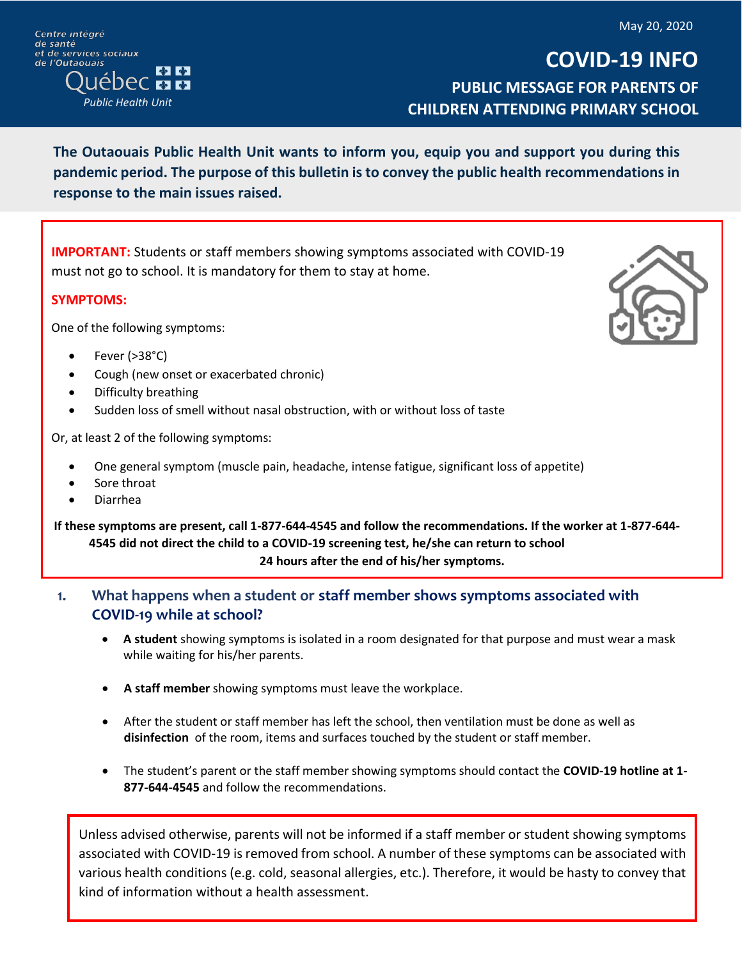May 20, 2020

Centre intégré de santé et de services sociaux de l'Outaouais  $\frac{1}{2}$ **JÉDEC ME** *Public Health Unit*

**COVID-19 INFO PUBLIC MESSAGE FOR PARENTS OF CHILDREN ATTENDING PRIMARY SCHOOL**

**The Outaouais Public Health Unit wants to inform you, equip you and support you during this pandemic period. The purpose of this bulletin is to convey the public health recommendations in response to the main issues raised.**

**IMPORTANT:** Students or staff members showing symptoms associated with COVID-19 must not go to school. It is mandatory for them to stay at home.

## **SYMPTOMS:**

One of the following symptoms:

- Fever (>38°C)
- Cough (new onset or exacerbated chronic)
- Difficulty breathing
- Sudden loss of smell without nasal obstruction, with or without loss of taste

Or, at least 2 of the following symptoms:

- One general symptom (muscle pain, headache, intense fatigue, significant loss of appetite)
- Sore throat
- Diarrhea

**If these symptoms are present, call 1-877-644-4545 and follow the recommendations. If the worker at 1-877-644- 4545 did not direct the child to a COVID-19 screening test, he/she can return to school 24 hours after the end of his/her symptoms.**

- **1. What happens when a student or staff member shows symptoms associated with COVID-19 while at school?**
	- **A student** showing symptoms is isolated in a room designated for that purpose and must wear a mask while waiting for his/her parents.
	- **A staff member** showing symptoms must leave the workplace.
	- After the student or staff member has left the school, then ventilation must be done as well as **disinfection** of the room, items and surfaces touched by the student or staff member.
	- The student's parent or the staff member showing symptoms should contact the **COVID-19 hotline at 1- 877-644-4545** and follow the recommendations.

Unless advised otherwise, parents will not be informed if a staff member or student showing symptoms associated with COVID-19 is removed from school. A number of these symptoms can be associated with various health conditions (e.g. cold, seasonal allergies, etc.). Therefore, it would be hasty to convey that kind of information without a health assessment.